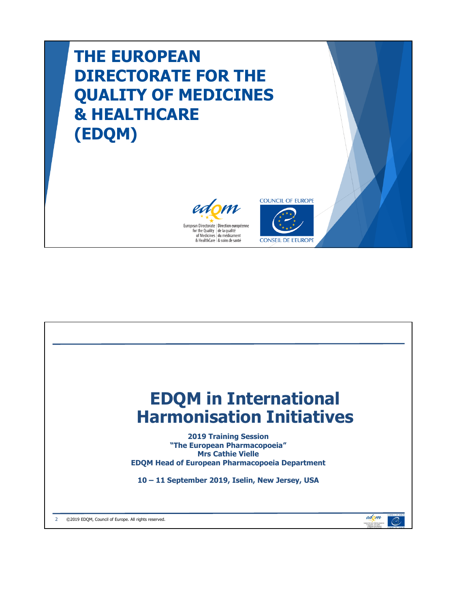## **THE EUROPEAN DIRECTORATE FOR THE QUALITY OF MEDICINES & HEALTHCARE (EDQM)**





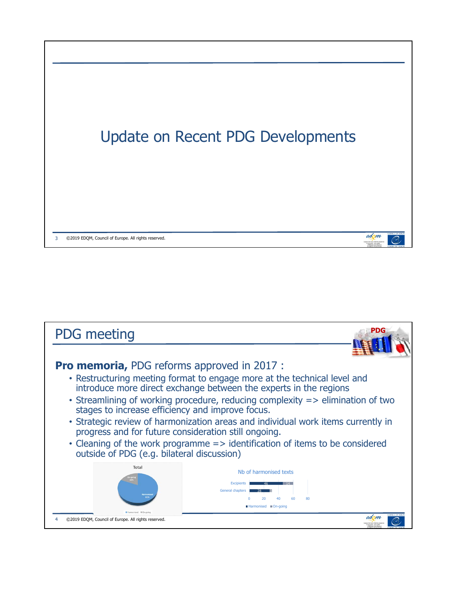

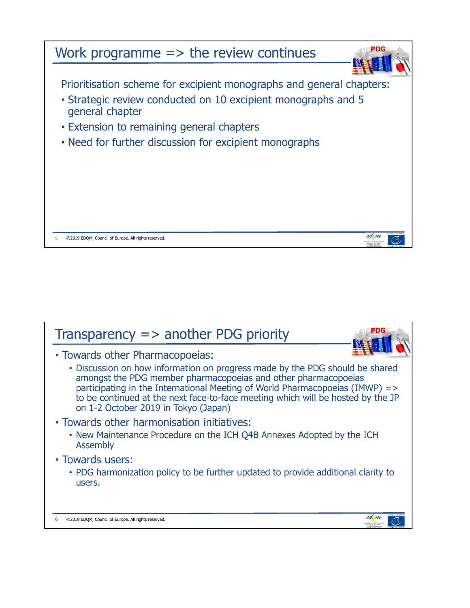

| PDG<br>Transparency $\Rightarrow$ another PDG priority                                                                                                                                                                                                                                                                                                                                       |
|----------------------------------------------------------------------------------------------------------------------------------------------------------------------------------------------------------------------------------------------------------------------------------------------------------------------------------------------------------------------------------------------|
| • Towards other Pharmacopoeias:<br>• Discussion on how information on progress made by the PDG should be shared<br>amongst the PDG member pharmacopoeias and other pharmacopoeias<br>participating in the International Meeting of World Pharmacopoeias (IMWP) =><br>to be continued at the next face-to-face meeting which will be hosted by the JP<br>on 1-2 October 2019 in Tokyo (Japan) |
| • Towards other harmonisation initiatives:<br>• New Maintenance Procedure on the ICH Q4B Annexes Adopted by the ICH<br><b>Assembly</b>                                                                                                                                                                                                                                                       |
| • Towards users:<br>• PDG harmonization policy to be further updated to provide additional clarity to<br>users.                                                                                                                                                                                                                                                                              |
| edom<br>©2019 EDOM, Council of Europe. All rights reserved.                                                                                                                                                                                                                                                                                                                                  |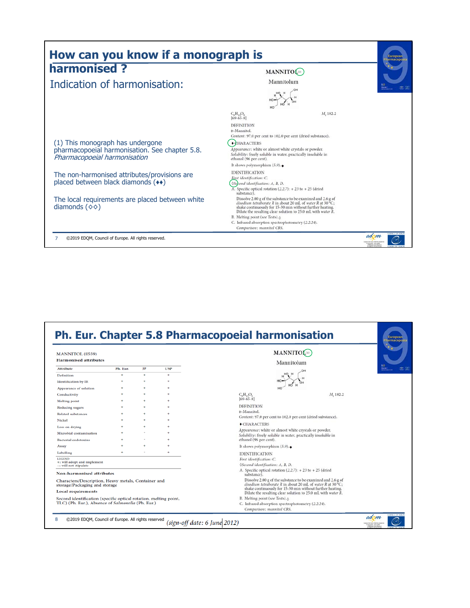| harmonised?                                                                                                        |                                                                                                                                                                                                                                                                          | MANNITOL <sup>(1)</sup>                                                                                                                                                                                                                                 |  |
|--------------------------------------------------------------------------------------------------------------------|--------------------------------------------------------------------------------------------------------------------------------------------------------------------------------------------------------------------------------------------------------------------------|---------------------------------------------------------------------------------------------------------------------------------------------------------------------------------------------------------------------------------------------------------|--|
| Indication of harmonisation:                                                                                       | Mannitolum                                                                                                                                                                                                                                                               |                                                                                                                                                                                                                                                         |  |
|                                                                                                                    | $C_6H_{14}O_6$<br>$[69-65-8]$<br><b>DEFINITION</b><br>D-Mannitol.                                                                                                                                                                                                        | M. 182.2                                                                                                                                                                                                                                                |  |
| (1) This monograph has undergone<br>pharmacopoeial harmonisation. See chapter 5.8.<br>Pharmacopoeial harmonisation | Content: 97.0 per cent to 102.0 per cent (dried substance).<br><b>+CHARACTERS</b><br>Appearance: white or almost white crystals or powder.<br>Solubility: freely soluble in water, practically insoluble in<br>ethanol (96 per cent).<br>It shows polymorphism $(5.9)$ . |                                                                                                                                                                                                                                                         |  |
| The non-harmonised attributes/provisions are<br>placed between black diamonds (**)                                 | <b>IDENTIFICATION</b><br>First identification: C.<br>0Second identification: A, B, D.<br>A. Specific optical rotation $(2.2.7)$ : + 23 to + 25 (dried<br>substance).                                                                                                     |                                                                                                                                                                                                                                                         |  |
| The local requirements are placed between white<br>diamonds $(\diamond \diamond)$                                  | B. Melting point (see Tests). <sup>0</sup><br>C. Infrared absorption spectrophotometry (2.2.24).<br>Comparison: mannitol CRS.                                                                                                                                            | Dissolve 2.00 g of the substance to be examined and 2.6 g of<br>disodium tetraborate R in about 20 mL of water R at 30 °C;<br>shake continuously for 15-30 min without further heating.<br>Dilute the resulting clear solution to 25.0 mL with water R. |  |

| MANNITOL (0559)<br><b>Harmonised attributes</b>                                      |          |    |            | Mannitolum                                                                                                             | MANNITOL <sup>(1)</sup>                                                                                                    |  |
|--------------------------------------------------------------------------------------|----------|----|------------|------------------------------------------------------------------------------------------------------------------------|----------------------------------------------------------------------------------------------------------------------------|--|
| <b>Attribute</b>                                                                     | Ph. Eur. | IP | <b>USP</b> |                                                                                                                        |                                                                                                                            |  |
| Definition                                                                           |          | ÷  | $\bullet$  |                                                                                                                        |                                                                                                                            |  |
| <b>Identification by IR</b>                                                          |          |    | ٠          |                                                                                                                        |                                                                                                                            |  |
| Appearance of solution                                                               |          |    | ۰          |                                                                                                                        |                                                                                                                            |  |
| Conductivity                                                                         |          |    |            | $C_6H_{14}O_6$                                                                                                         | M <sub>2</sub> 182.2                                                                                                       |  |
| <b>Melting</b> point                                                                 |          |    |            | $[69-65-8]$                                                                                                            |                                                                                                                            |  |
| Reducing sugars                                                                      |          |    |            | <b>DEFINITION</b>                                                                                                      |                                                                                                                            |  |
| <b>Related substances</b>                                                            |          |    |            | D-Mannitol.                                                                                                            |                                                                                                                            |  |
| Nickel                                                                               |          |    |            | Content: 97.0 per cent to 102.0 per cent (dried substance).                                                            |                                                                                                                            |  |
| Loss on drying                                                                       |          |    |            | $\bullet$ CHARACTERS                                                                                                   |                                                                                                                            |  |
| Microbial contamination                                                              |          |    |            | Appearance: white or almost white crystals or powder.<br>Solubility: freely soluble in water, practically insoluble in |                                                                                                                            |  |
| <b>Bacterial endotoxins</b>                                                          |          |    |            | ethanol (96 per cent).                                                                                                 |                                                                                                                            |  |
| Assay                                                                                |          |    |            | It shows polymorphism $(5.9)$ .                                                                                        |                                                                                                                            |  |
| Labelling                                                                            |          |    |            | <b>IDENTIFICATION</b>                                                                                                  |                                                                                                                            |  |
| <b>LEGEND</b><br>+: will adopt and implement<br>-: will not stipulate                |          |    |            | First identification: C.<br>0Second identification: A, B, D.                                                           |                                                                                                                            |  |
| <b>Non-harmonised attributes</b>                                                     |          |    |            | A. Specific optical rotation $(2.2.7)$ : + 23 to + 25 (dried<br>substance).                                            |                                                                                                                            |  |
| Characters/Description, Heavy metals, Container and<br>storage/Packaging and storage |          |    |            |                                                                                                                        | Dissolve 2.00 g of the substance to be examined and 2.6 g of<br>disodium tetraborate R in about 20 mL of water R at 30 °C; |  |
| <b>Local requirements</b>                                                            |          |    |            |                                                                                                                        | shake continuously for 15-30 min without further heating.<br>Dilute the resulting clear solution to 25.0 mL with water R.  |  |
| Second identification (specific optical rotation, melting point,                     |          |    |            | B. Melting point (see Tests). <sup>0</sup>                                                                             |                                                                                                                            |  |
| TLC) (Ph. Eur.), Absence of Salmonella (Ph. Eur.)                                    |          |    |            | C. Infrared absorption spectrophotometry (2.2.24).                                                                     |                                                                                                                            |  |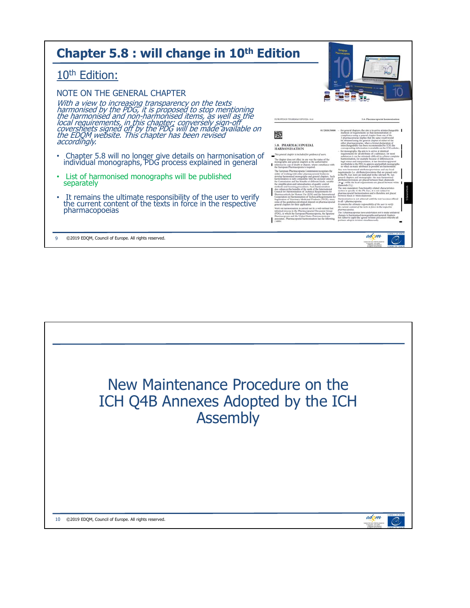| Chapter 5.8 : will change in 10 <sup>th</sup> Edition                                                                                                                                                                                                                     | European<br><b>Pharmacopools</b>                                                                                                                                                                                                                                                                                                                                                                                                                                                                                                                                                                                                                                                                                                                                                                                                                                                                                                                                                                                                                                                                                                                                                                                                                                                                                           |
|---------------------------------------------------------------------------------------------------------------------------------------------------------------------------------------------------------------------------------------------------------------------------|----------------------------------------------------------------------------------------------------------------------------------------------------------------------------------------------------------------------------------------------------------------------------------------------------------------------------------------------------------------------------------------------------------------------------------------------------------------------------------------------------------------------------------------------------------------------------------------------------------------------------------------------------------------------------------------------------------------------------------------------------------------------------------------------------------------------------------------------------------------------------------------------------------------------------------------------------------------------------------------------------------------------------------------------------------------------------------------------------------------------------------------------------------------------------------------------------------------------------------------------------------------------------------------------------------------------------|
| 10 <sup>th</sup> Edition:                                                                                                                                                                                                                                                 |                                                                                                                                                                                                                                                                                                                                                                                                                                                                                                                                                                                                                                                                                                                                                                                                                                                                                                                                                                                                                                                                                                                                                                                                                                                                                                                            |
| NOTE ON THE GENERAL CHAPTER<br>With a view to increasing transparency on the texts<br>harmonised by the PDG, it is proposed to stop mentioning<br>the harmonised and non-harmonised items, as well as the<br>local requirements, in this chapter; conversely sign-off<br> | EUROPEAN PHARMACOPOEIA 10.0<br>5.8. Pharmacoporial harmonisation<br>01/2020:50800<br>for general chapters, the aim is to arrive at interchangeable<br>methods or requirements so that demonstration of                                                                                                                                                                                                                                                                                                                                                                                                                                                                                                                                                                                                                                                                                                                                                                                                                                                                                                                                                                                                                                                                                                                     |
| accordingly.<br>Chapter 5.8 will no longer give details on harmonisation of individual monographs, PDG process explained in general                                                                                                                                       | 咳<br>compliance using a general chapter from one of the<br>3 pharmacopoetas implies that the same result would<br>be obtained using the general chapter of either of the<br>other pharmacopocias; when a formal declaration of<br>5.8. PHARMACOPOEIAL<br>interchangeability has been recommended by ICH, the<br>corresponding information is available on the ICH website;<br><b>HARMONISATION</b><br>for monographs, the atm is to arrive at identical<br>requirements for all attributes of a substance; for most<br>This general chapter is included for guidance of users.<br>substances it can be extremely difficult to achieve complete<br>harmonisation, for example because of differences to.<br>The chapter does not affect in any way the status of the<br>legal status and interpretation; it has therefore appeared<br>monographs and general chapters as the authoritative                                                                                                                                                                                                                                                                                                                                                                                                                                  |
| List of harmonised monographs will be published<br>$\bullet$<br>separately                                                                                                                                                                                                | worthwhile to the PDG to approve and publish monographs<br>reference in case of doubt or dispute, where compliance with<br>in which as many attributes as possible are harmonised.<br>the European Pharmacopoeta is required.<br>Any non-harmonised attributes/provisions and any local<br>The European Pharmacopoeia Commission recognises the<br>requirements (i.e. attributes/provisions that are present only<br>inflits of working with other pharmacopoetal bodies to<br>in the Ph. Eur. text) are indicated in the relevant Ph. Eur.<br>develop harmonised monographs and general chapters. Such<br>general chapters and monographs: the non-harmonised<br>harmonisation is fully compatible with the declared aims of<br>attributes/provisions are placed between black diamonds<br>the Commission and has benefits of different kinds, notably<br>( $\bullet$ a), while the local requirements are placed between white<br>the simplification and rationalisation of quality control<br>diamonds (06).<br>methods and licensing procedures. Such harmonisation<br>The rein-mandatory Functionality-related characteristics<br>also enhances the benefits of the work of the International<br>section is specific to the Ph. Ear.; it is not subject to<br>Council for Harmonisation of Technical Regultements for |
| It remains the ultimate responsibility of the user to verify the current content of the texts in force in the respective<br>pharmacopoeias                                                                                                                                | pharmacopocial harmonisation and is therefore not placed<br>Pharmaceuticals for Human Use (ICH) and the International<br>between black or white diamonds.<br>Cooperation on Harmontsation of Technical Requirements for<br>Harmontsation is not achieved until the text becomes official<br>Registration of Veterinary Medicinal Products (VICH), since<br>in all 3 pharmacopoetas.<br>some of the guidelines developed depend on pharmacopoetal<br>It remains the ultimate responsibility of the user to verify<br>general chapters for their application.<br>the current content of the texts in force in the respective<br>Work on harmonisation is carried out by a well-defined but<br>pharmacopocias.<br>informal process in the Pharmacopocial Discussion Group<br>The 3 pharmacopostas have undertaken not to make unilateral<br>(PDG), in which the European Pharmacopoeia, the Ispanese<br>changes to harmonised monographs and general chapters<br>Pharmacopoeia and the United States Pharmacopeia are<br>but rather to apply the agreed revision procedure whereby all<br>associated. Pharmacopoeial harmonisation has the following<br>partners adopt a revision simultaneously.<br>$2$ aims                                                                                                                 |
| ©2019 EDQM, Council of Europe. All rights reserved.                                                                                                                                                                                                                       | edom<br>by the Dankly   de la pa                                                                                                                                                                                                                                                                                                                                                                                                                                                                                                                                                                                                                                                                                                                                                                                                                                                                                                                                                                                                                                                                                                                                                                                                                                                                                           |

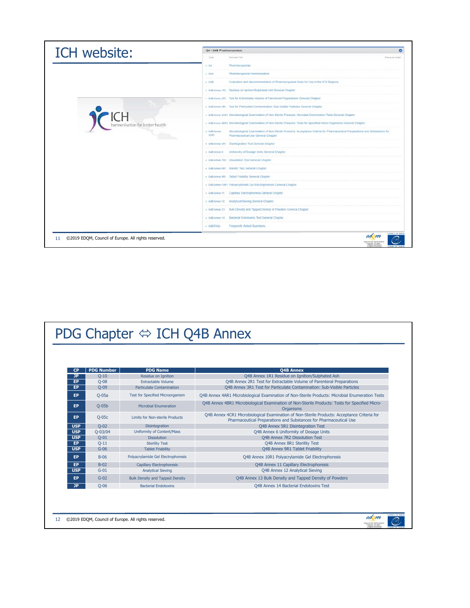| ICH website:                                              | Q4 - Q4B Pharmacopoeias                                                                                                                                                                 |                                  |
|-----------------------------------------------------------|-----------------------------------------------------------------------------------------------------------------------------------------------------------------------------------------|----------------------------------|
|                                                           | Code<br>Document Title                                                                                                                                                                  | Previously coded:                |
|                                                           | Pharmacopoeias<br>$+$ Q4                                                                                                                                                                |                                  |
|                                                           | Pharmacopoelal Harmonisation<br>$+$ Q4A                                                                                                                                                 |                                  |
|                                                           | $+$ O4B<br>Evaluation and Recommendation of Pharmacopoeial Texts for Use in the ICH Regions                                                                                             |                                  |
|                                                           | + Q4B Annex 1R1 Residue on Ignition/Sulphated Ash General Chapter                                                                                                                       |                                  |
|                                                           | . 04B Annex 2R1 Test for Extractable Volume of Parenteral Preparations General Chapter                                                                                                  |                                  |
|                                                           | . O4B Arres 3R1 Test for Particulate Contamination: Sub-Visible Particles General Chapter                                                                                               |                                  |
|                                                           | + Q4B Annex 4AR1 Microbiological Examination of Non-Sterile Products; Microbial Enumeration Tests General Chapter                                                                       |                                  |
| harmonisation for better health                           | · 04B Annex 4BR1 Microbiological Examination of Non-Sterile Products: Tests for Specified Micro-Organisms General Chapter                                                               |                                  |
|                                                           | Microbiological Examination of Non-Sterile Products Acceptance Criteria for Pharmaceutical Preparations and Substances for<br>+ O4B Annex<br>4CR1<br>Pharmaceutical Use General Chapter |                                  |
|                                                           | . 045 Annex 5R1 Disintegration Test General Chapter                                                                                                                                     |                                  |
|                                                           | . Q4B Annex 6 Uniformity of Dosage Units General Chapter                                                                                                                                |                                  |
|                                                           | · Q4B Anne: 7R2 Dissolution Test General Chapter                                                                                                                                        |                                  |
|                                                           | + Q48 Annex 8R1 Sterlifty Test General Chapter                                                                                                                                          |                                  |
|                                                           | + 04B Annex 9R1 Table! Friability General Chapter                                                                                                                                       |                                  |
|                                                           | . O4B Annex 18R1 Polyacrylamide Gel Electrophoresis General Chapt                                                                                                                       |                                  |
|                                                           | . Q4B Annex 11 Capillary Electrophoresis General Chapter                                                                                                                                |                                  |
|                                                           | + 04B Annex 12 Analytical Steving General Chapter                                                                                                                                       |                                  |
|                                                           | + 048 Areas 13. Bulk Density and Tapped Density of Powders General Chaple                                                                                                               |                                  |
|                                                           | + 048 Annex 14 Bacterial Endotoxins Test General Chapter                                                                                                                                |                                  |
|                                                           | <b>Frequently Asked Questions</b><br>$+$ $048$ $FAOs$                                                                                                                                   |                                  |
| ©2019 EDQM, Council of Europe. All rights reserved.<br>11 |                                                                                                                                                                                         | edom<br>or the Dunlin on brought |

## PDG Chapter  $\Leftrightarrow$  ICH Q4B Annex

| <b>CP</b>  | <b>PDG Number</b> | <b>PDG Name</b>                                                                                                                                                             | <b>O4B Annex</b>                                                                                                                                                 |
|------------|-------------------|-----------------------------------------------------------------------------------------------------------------------------------------------------------------------------|------------------------------------------------------------------------------------------------------------------------------------------------------------------|
| <b>JP</b>  | $Q-10$            | Residue on Ignition<br>Q4B Annex 1R1 Residue on Ignition/Sulphated Ash                                                                                                      |                                                                                                                                                                  |
| EP         | $Q-08$            | <b>Extractable Volume</b><br>Q4B Annex 2R1 Test for Extractable Volume of Parenteral Preparations                                                                           |                                                                                                                                                                  |
| EP         | $O-09$            | <b>Particulate Contamination</b>                                                                                                                                            | O4B Annex 3R1 Test for Particulate Contamination: Sub-Visible Particles                                                                                          |
| EP         | $O-05a$           | Test for Specified Microorganism                                                                                                                                            | O4B Annex 4AR1 Microbiological Examination of Non-Sterile Products: Microbial Enumeration Tests                                                                  |
| EP         | $O-05b$           | O4B Annex 4BR1 Microbiological Examination of Non-Sterile Products: Tests for Specified Micro-<br><b>Microbial Enumeration</b><br>Organisms                                 |                                                                                                                                                                  |
| EP         | $Q-05c$           | Limits for Non-sterile Products                                                                                                                                             | Q4B Annex 4CR1 Microbiological Examination of Non-Sterile Products: Acceptance Criteria for<br>Pharmaceutical Preparations and Substances for Pharmaceutical Use |
| <b>USP</b> | $O-02$            | Disintegration<br>Q4B Annex 5R1 Disintegration Test                                                                                                                         |                                                                                                                                                                  |
| <b>USP</b> | $Q - 03/04$       | Uniformity of Content/Mass                                                                                                                                                  | Q4B Annex 6 Uniformity of Dosage Units                                                                                                                           |
| <b>USP</b> | $O-01$            | <b>Dissolution</b><br>Q4B Annex 7R2 Dissolution Test                                                                                                                        |                                                                                                                                                                  |
| EP.        | $Q-11$            | Q4B Annex 8R1 Sterility Test<br><b>Sterility Test</b>                                                                                                                       |                                                                                                                                                                  |
| <b>USP</b> | $G-06$            | <b>Tablet Friability</b>                                                                                                                                                    | O4B Annex 9R1 Tablet Friability                                                                                                                                  |
| <b>EP</b>  | $B-06$            | Polyacrylamide Gel Electrophoresis<br>O4B Annex 10R1 Polvacrylamide Gel Electrophoresis                                                                                     |                                                                                                                                                                  |
| <b>EP</b>  | $B-02$            | <b>Capillary Electrophoresis</b>                                                                                                                                            | Q4B Annex 11 Capillary Electrophoresis                                                                                                                           |
| <b>USP</b> | $G-01$            | <b>Analytical Sieving</b><br>Q4B Annex 12 Analytical Sieving<br>$G-02$<br><b>Bulk Density and Tapped Density</b><br>Q4B Annex 13 Bulk Density and Tapped Density of Powders |                                                                                                                                                                  |
| EP         |                   |                                                                                                                                                                             |                                                                                                                                                                  |
| JP.        | $O-06$            | <b>Bacterial Endotoxins</b>                                                                                                                                                 | Q4B Annex 14 Bacterial Endotoxins Test                                                                                                                           |
|            |                   |                                                                                                                                                                             |                                                                                                                                                                  |
|            |                   | ©2019 EDQM, Council of Europe. All rights reserved.                                                                                                                         | COUNCIL OF HAKK<br>edom                                                                                                                                          |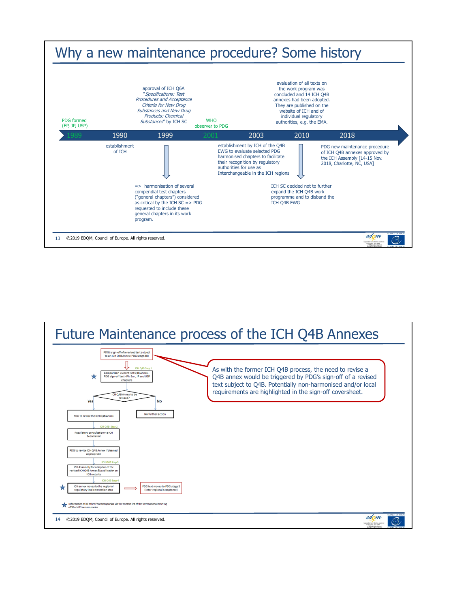

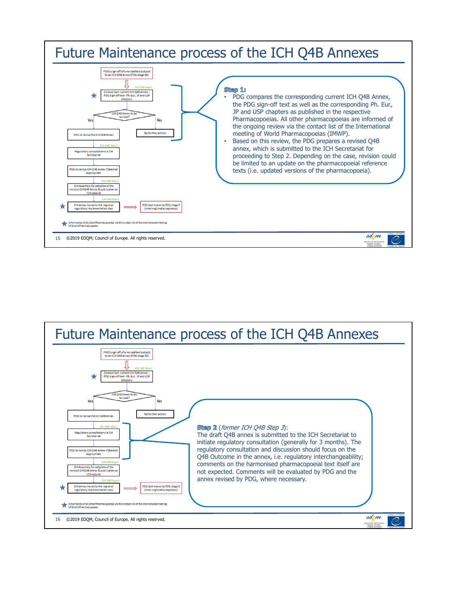

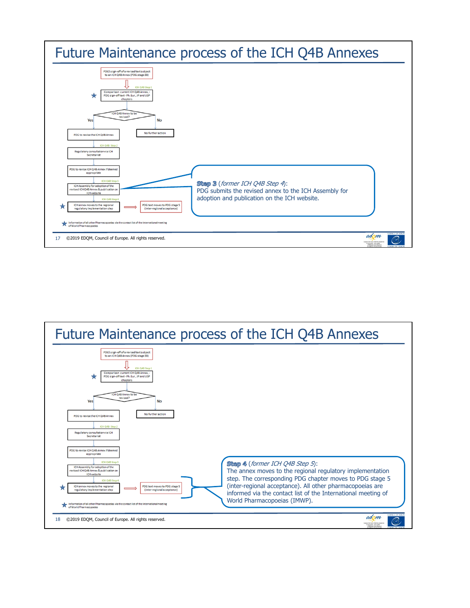

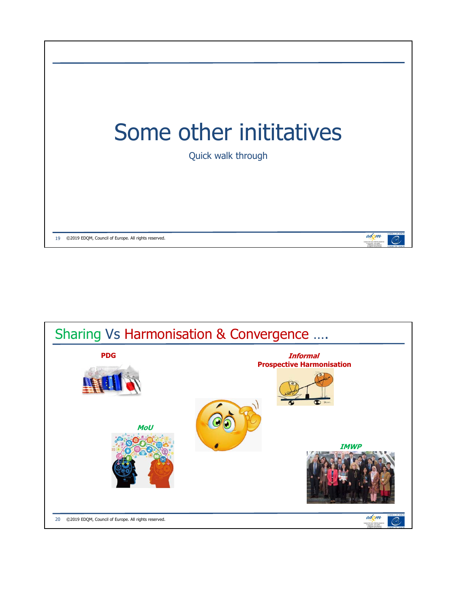

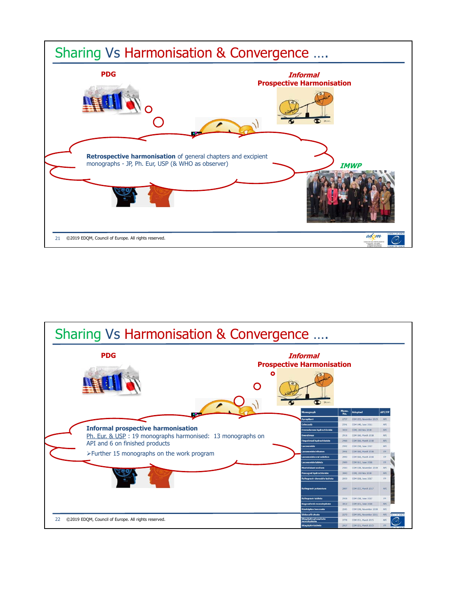

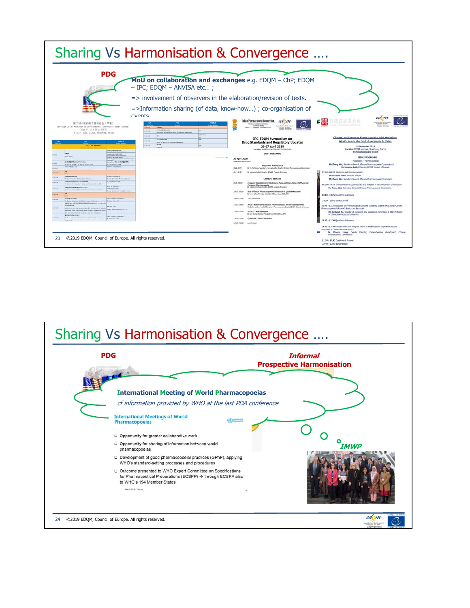

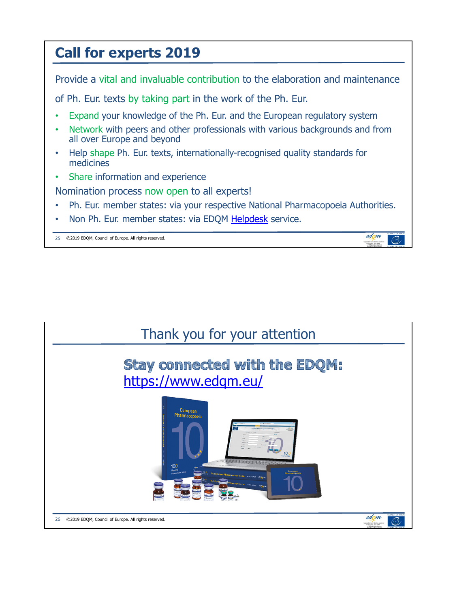## **Call for experts 2019** Provide a vital and invaluable contribution to the elaboration and maintenance of Ph. Eur. texts by taking part in the work of the Ph. Eur. Expand your knowledge of the Ph. Eur. and the European regulatory system • Network with peers and other professionals with various backgrounds and from all over Europe and beyond • Help shape Ph. Eur. texts, internationally-recognised quality standards for medicines Share information and experience Nomination process now open to all experts! • Ph. Eur. member states: via your respective National Pharmacopoeia Authorities. Non Ph. Eur. member states: via EDQM Helpdesk service. edom 25 ©2019 EDQM, Council of Europe. All rights reserved.